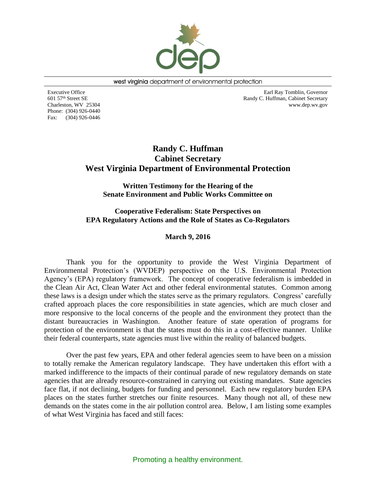

west virginia department of environmental protection

Executive Office 601 57th Street SE Charleston, WV 25304 Phone: (304) 926-0440 Fax: (304) 926-0446

Earl Ray Tomblin, Governor Randy C. Huffman, Cabinet Secretary www.dep.wv.gov

# **Randy C. Huffman Cabinet Secretary West Virginia Department of Environmental Protection**

**Written Testimony for the Hearing of the Senate Environment and Public Works Committee on**

**[Cooperative Federalism: State Perspectives on](http://www.epw.senate.gov/public/index.cfm/hearings?ID=B883099D-3133-41A4-88A1-A144B918F5BD)  [EPA Regulatory Actions and the Role of States as Co-Regulators](http://www.epw.senate.gov/public/index.cfm/hearings?ID=B883099D-3133-41A4-88A1-A144B918F5BD)**

# **March 9, 2016**

Thank you for the opportunity to provide the West Virginia Department of Environmental Protection's (WVDEP) perspective on the U.S. Environmental Protection Agency's (EPA) regulatory framework. The concept of cooperative federalism is imbedded in the Clean Air Act, Clean Water Act and other federal environmental statutes. Common among these laws is a design under which the states serve as the primary regulators. Congress' carefully crafted approach places the core responsibilities in state agencies, which are much closer and more responsive to the local concerns of the people and the environment they protect than the distant bureaucracies in Washington. Another feature of state operation of programs for protection of the environment is that the states must do this in a cost-effective manner. Unlike their federal counterparts, state agencies must live within the reality of balanced budgets.

Over the past few years, EPA and other federal agencies seem to have been on a mission to totally remake the American regulatory landscape. They have undertaken this effort with a marked indifference to the impacts of their continual parade of new regulatory demands on state agencies that are already resource-constrained in carrying out existing mandates. State agencies face flat, if not declining, budgets for funding and personnel. Each new regulatory burden EPA places on the states further stretches our finite resources. Many though not all, of these new demands on the states come in the air pollution control area. Below, I am listing some examples of what West Virginia has faced and still faces: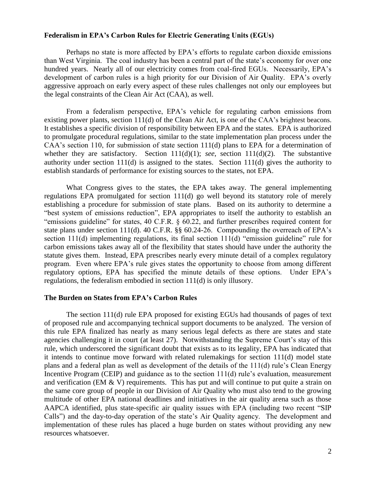# **Federalism in EPA's Carbon Rules for Electric Generating Units (EGUs)**

Perhaps no state is more affected by EPA's efforts to regulate carbon dioxide emissions than West Virginia. The coal industry has been a central part of the state's economy for over one hundred years. Nearly all of our electricity comes from coal-fired EGUs. Necessarily, EPA's development of carbon rules is a high priority for our Division of Air Quality. EPA's overly aggressive approach on early every aspect of these rules challenges not only our employees but the legal constraints of the Clean Air Act (CAA), as well.

From a federalism perspective, EPA's vehicle for regulating carbon emissions from existing power plants, section 111(d) of the Clean Air Act, is one of the CAA's brightest beacons. It establishes a specific division of responsibility between EPA and the states. EPA is authorized to promulgate procedural regulations, similar to the state implementation plan process under the CAA's section 110, for submission of state section 111(d) plans to EPA for a determination of whether they are satisfactory. Section 111(d)(1); *see*, section 111(d)(2). The substantive authority under section 111(d) is assigned to the states. Section 111(d) gives the authority to establish standards of performance for existing sources to the states, not EPA.

What Congress gives to the states, the EPA takes away. The general implementing regulations EPA promulgated for section 111(d) go well beyond its statutory role of merely establishing a procedure for submission of state plans. Based on its authority to determine a "best system of emissions reduction", EPA appropriates to itself the authority to establish an "emissions guideline" for states, 40 C.F.R. § 60.22, and further prescribes required content for state plans under section 111(d). 40 C.F.R. §§ 60.24-26. Compounding the overreach of EPA's section 111(d) implementing regulations, its final section 111(d) "emission guideline" rule for carbon emissions takes away all of the flexibility that states should have under the authority the statute gives them. Instead, EPA prescribes nearly every minute detail of a complex regulatory program. Even where EPA's rule gives states the opportunity to choose from among different regulatory options, EPA has specified the minute details of these options. Under EPA's regulations, the federalism embodied in section 111(d) is only illusory.

## **The Burden on States from EPA's Carbon Rules**

The section 111(d) rule EPA proposed for existing EGUs had thousands of pages of text of proposed rule and accompanying technical support documents to be analyzed. The version of this rule EPA finalized has nearly as many serious legal defects as there are states and state agencies challenging it in court (at least 27). Notwithstanding the Supreme Court's stay of this rule, which underscored the significant doubt that exists as to its legality, EPA has indicated that it intends to continue move forward with related rulemakings for section 111(d) model state plans and a federal plan as well as development of the details of the 111(d) rule's Clean Energy Incentive Program (CEIP) and guidance as to the section 111(d) rule's evaluation, measurement and verification (EM  $&$  V) requirements. This has put and will continue to put quite a strain on the same core group of people in our Division of Air Quality who must also tend to the growing multitude of other EPA national deadlines and initiatives in the air quality arena such as those AAPCA identified, plus state-specific air quality issues with EPA (including two recent "SIP Calls") and the day-to-day operation of the state's Air Quality agency. The development and implementation of these rules has placed a huge burden on states without providing any new resources whatsoever.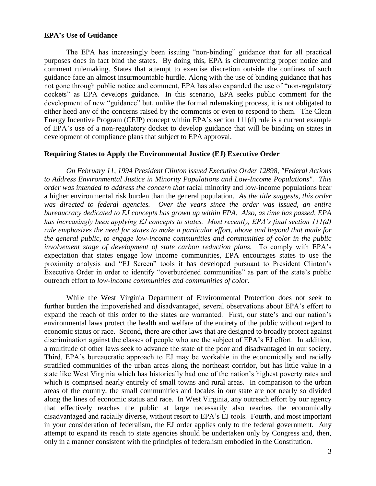## **EPA's Use of Guidance**

The EPA has increasingly been issuing "non-binding" guidance that for all practical purposes does in fact bind the states. By doing this, EPA is circumventing proper notice and comment rulemaking. States that attempt to exercise discretion outside the confines of such guidance face an almost insurmountable hurdle. Along with the use of binding guidance that has not gone through public notice and comment, EPA has also expanded the use of "non-regulatory dockets" as EPA develops guidance. In this scenario, EPA seeks public comment for the development of new "guidance" but, unlike the formal rulemaking process, it is not obligated to either heed any of the concerns raised by the comments or even to respond to them. The Clean Energy Incentive Program (CEIP) concept within EPA's section 111(d) rule is a current example of EPA's use of a non-regulatory docket to develop guidance that will be binding on states in development of compliance plans that subject to EPA approval.

## **Requiring States to Apply the Environmental Justice (EJ) Executive Order**

*On February 11, 1994 President Clinton issued Executive Order 12898, "Federal Actions to Address Environmental Justice in Minority Populations and Low-Income Populations". This order was intended to address the concern that* racial minority and low-income populations bear a higher environmental risk burden than the general population. *As the title suggests, this order was directed to federal agencies. Over the years since the order was issued, an entire bureaucracy dedicated to EJ concepts has grown up within EPA. Also, as time has passed, EPA has increasingly been applying EJ concepts to states. Most recently, EPA's final section 111(d) rule emphasizes the need for states to make a particular effort, above and beyond that made for the general public, to engage low-income communities and communities of color in the public involvement stage of development of state carbon reduction plans.* To comply with EPA's expectation that states engage low income communities, EPA encourages states to use the proximity analysis and "EJ Screen" tools it has developed pursuant to President Clinton's Executive Order in order to identify "overburdened communities" as part of the state's public outreach effort to *low-income communities and communities of color*.

While the West Virginia Department of Environmental Protection does not seek to further burden the impoverished and disadvantaged, several observations about EPA's effort to expand the reach of this order to the states are warranted. First, our state's and our nation's environmental laws protect the health and welfare of the entirety of the public without regard to economic status or race. Second, there are other laws that are designed to broadly protect against discrimination against the classes of people who are the subject of EPA's EJ effort. In addition, a multitude of other laws seek to advance the state of the poor and disadvantaged in our society. Third, EPA's bureaucratic approach to EJ may be workable in the economically and racially stratified communities of the urban areas along the northeast corridor, but has little value in a state like West Virginia which has historically had one of the nation's highest poverty rates and which is comprised nearly entirely of small towns and rural areas. In comparison to the urban areas of the country, the small communities and locales in our state are not nearly so divided along the lines of economic status and race. In West Virginia, any outreach effort by our agency that effectively reaches the public at large necessarily also reaches the economically disadvantaged and racially diverse, without resort to EPA's EJ tools. Fourth, and most important in your consideration of federalism, the EJ order applies only to the federal government. Any attempt to expand its reach to state agencies should be undertaken only by Congress and, then, only in a manner consistent with the principles of federalism embodied in the Constitution.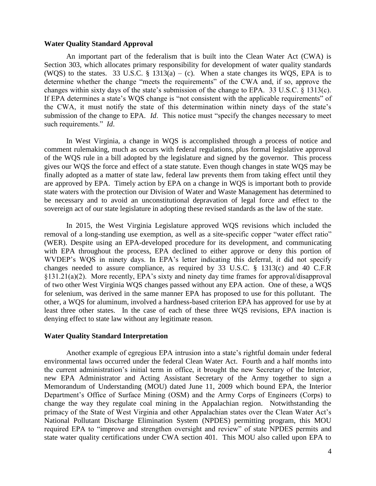## **Water Quality Standard Approval**

An important part of the federalism that is built into the Clean Water Act (CWA) is Section 303, which allocates primary responsibility for development of water quality standards (WQS) to the states. 33 U.S.C. § 1313(a) – (c). When a state changes its WQS, EPA is to determine whether the change "meets the requirements" of the CWA and, if so, approve the changes within sixty days of the state's submission of the change to EPA. 33 U.S.C. § 1313(c). If EPA determines a state's WQS change is "not consistent with the applicable requirements" of the CWA, it must notify the state of this determination within ninety days of the state's submission of the change to EPA. *Id*. This notice must "specify the changes necessary to meet such requirements." *Id*.

In West Virginia, a change in WQS is accomplished through a process of notice and comment rulemaking, much as occurs with federal regulations, plus formal legislative approval of the WQS rule in a bill adopted by the legislature and signed by the governor. This process gives our WQS the force and effect of a state statute. Even though changes in state WQS may be finally adopted as a matter of state law, federal law prevents them from taking effect until they are approved by EPA. Timely action by EPA on a change in WQS is important both to provide state waters with the protection our Division of Water and Waste Management has determined to be necessary and to avoid an unconstitutional depravation of legal force and effect to the sovereign act of our state legislature in adopting these revised standards as the law of the state.

In 2015, the West Virginia Legislature approved WQS revisions which included the removal of a long-standing use exemption, as well as a site-specific copper "water effect ratio" (WER). Despite using an EPA-developed procedure for its development, and communicating with EPA throughout the process, EPA declined to either approve or deny this portion of WVDEP's WQS in ninety days. In EPA's letter indicating this deferral, it did not specify changes needed to assure compliance, as required by 33 U.S.C. § 1313(c) and 40 C.F.R §131.21(a)(2). More recently, EPA's sixty and ninety day time frames for approval/disapproval of two other West Virginia WQS changes passed without any EPA action. One of these, a WQS for selenium, was derived in the same manner EPA has proposed to use for this pollutant. The other, a WQS for aluminum, involved a hardness-based criterion EPA has approved for use by at least three other states. In the case of each of these three WQS revisions, EPA inaction is denying effect to state law without any legitimate reason.

## **Water Quality Standard Interpretation**

Another example of egregious EPA intrusion into a state's rightful domain under federal environmental laws occurred under the federal Clean Water Act. Fourth and a half months into the current administration's initial term in office, it brought the new Secretary of the Interior, new EPA Administrator and Acting Assistant Secretary of the Army together to sign a Memorandum of Understanding (MOU) dated June 11, 2009 which bound EPA, the Interior Department's Office of Surface Mining (OSM) and the Army Corps of Engineers (Corps) to change the way they regulate coal mining in the Appalachian region. Notwithstanding the primacy of the State of West Virginia and other Appalachian states over the Clean Water Act's National Pollutant Discharge Elimination System (NPDES) permitting program, this MOU required EPA to "improve and strengthen oversight and review" of state NPDES permits and state water quality certifications under CWA section 401. This MOU also called upon EPA to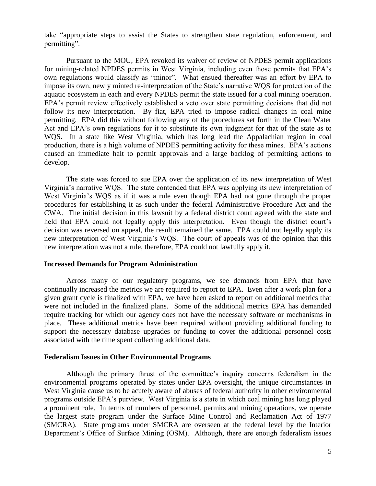take "appropriate steps to assist the States to strengthen state regulation, enforcement, and permitting".

Pursuant to the MOU, EPA revoked its waiver of review of NPDES permit applications for mining-related NPDES permits in West Virginia, including even those permits that EPA's own regulations would classify as "minor". What ensued thereafter was an effort by EPA to impose its own, newly minted re-interpretation of the State's narrative WQS for protection of the aquatic ecosystem in each and every NPDES permit the state issued for a coal mining operation. EPA's permit review effectively established a veto over state permitting decisions that did not follow its new interpretation. By fiat, EPA tried to impose radical changes in coal mine permitting. EPA did this without following any of the procedures set forth in the Clean Water Act and EPA's own regulations for it to substitute its own judgment for that of the state as to WQS. In a state like West Virginia, which has long lead the Appalachian region in coal production, there is a high volume of NPDES permitting activity for these mines. EPA's actions caused an immediate halt to permit approvals and a large backlog of permitting actions to develop.

The state was forced to sue EPA over the application of its new interpretation of West Virginia's narrative WQS. The state contended that EPA was applying its new interpretation of West Virginia's WQS as if it was a rule even though EPA had not gone through the proper procedures for establishing it as such under the federal Administrative Procedure Act and the CWA. The initial decision in this lawsuit by a federal district court agreed with the state and held that EPA could not legally apply this interpretation. Even though the district court's decision was reversed on appeal, the result remained the same. EPA could not legally apply its new interpretation of West Virginia's WQS. The court of appeals was of the opinion that this new interpretation was not a rule, therefore, EPA could not lawfully apply it.

#### **Increased Demands for Program Administration**

Across many of our regulatory programs, we see demands from EPA that have continually increased the metrics we are required to report to EPA. Even after a work plan for a given grant cycle is finalized with EPA, we have been asked to report on additional metrics that were not included in the finalized plans. Some of the additional metrics EPA has demanded require tracking for which our agency does not have the necessary software or mechanisms in place. These additional metrics have been required without providing additional funding to support the necessary database upgrades or funding to cover the additional personnel costs associated with the time spent collecting additional data.

#### **Federalism Issues in Other Environmental Programs**

Although the primary thrust of the committee's inquiry concerns federalism in the environmental programs operated by states under EPA oversight, the unique circumstances in West Virginia cause us to be acutely aware of abuses of federal authority in other environmental programs outside EPA's purview. West Virginia is a state in which coal mining has long played a prominent role. In terms of numbers of personnel, permits and mining operations, we operate the largest state program under the Surface Mine Control and Reclamation Act of 1977 (SMCRA). State programs under SMCRA are overseen at the federal level by the Interior Department's Office of Surface Mining (OSM). Although, there are enough federalism issues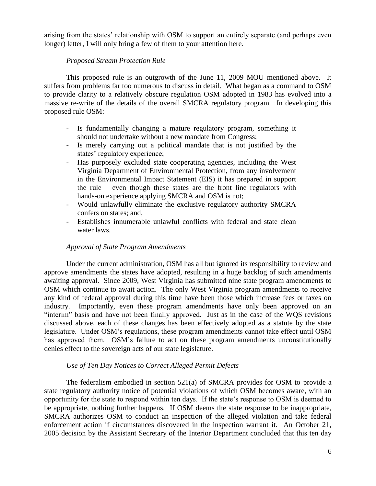arising from the states' relationship with OSM to support an entirely separate (and perhaps even longer) letter, I will only bring a few of them to your attention here.

# *Proposed Stream Protection Rule*

This proposed rule is an outgrowth of the June 11, 2009 MOU mentioned above. It suffers from problems far too numerous to discuss in detail. What began as a command to OSM to provide clarity to a relatively obscure regulation OSM adopted in 1983 has evolved into a massive re-write of the details of the overall SMCRA regulatory program. In developing this proposed rule OSM:

- Is fundamentally changing a mature regulatory program, something it should not undertake without a new mandate from Congress;
- Is merely carrying out a political mandate that is not justified by the states' regulatory experience;
- Has purposely excluded state cooperating agencies, including the West Virginia Department of Environmental Protection, from any involvement in the Environmental Impact Statement (EIS) it has prepared in support the rule – even though these states are the front line regulators with hands-on experience applying SMCRA and OSM is not;
- Would unlawfully eliminate the exclusive regulatory authority SMCRA confers on states; and,
- Establishes innumerable unlawful conflicts with federal and state clean water laws.

# *Approval of State Program Amendments*

Under the current administration, OSM has all but ignored its responsibility to review and approve amendments the states have adopted, resulting in a huge backlog of such amendments awaiting approval. Since 2009, West Virginia has submitted nine state program amendments to OSM which continue to await action. The only West Virginia program amendments to receive any kind of federal approval during this time have been those which increase fees or taxes on industry. Importantly, even these program amendments have only been approved on an "interim" basis and have not been finally approved. Just as in the case of the WQS revisions discussed above, each of these changes has been effectively adopted as a statute by the state legislature. Under OSM's regulations, these program amendments cannot take effect until OSM has approved them. OSM's failure to act on these program amendments unconstitutionally denies effect to the sovereign acts of our state legislature.

# *Use of Ten Day Notices to Correct Alleged Permit Defects*

The federalism embodied in section 521(a) of SMCRA provides for OSM to provide a state regulatory authority notice of potential violations of which OSM becomes aware, with an opportunity for the state to respond within ten days. If the state's response to OSM is deemed to be appropriate, nothing further happens. If OSM deems the state response to be inappropriate, SMCRA authorizes OSM to conduct an inspection of the alleged violation and take federal enforcement action if circumstances discovered in the inspection warrant it. An October 21, 2005 decision by the Assistant Secretary of the Interior Department concluded that this ten day